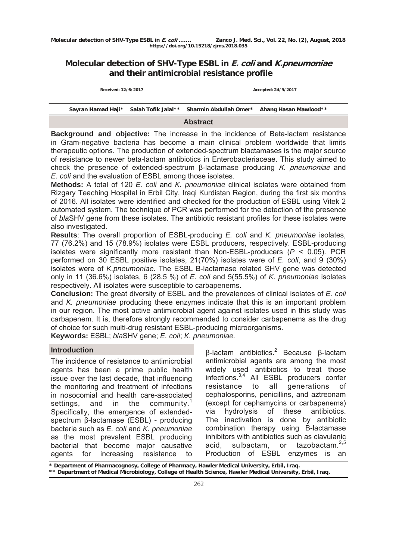# **Molecular detection of SHV-Type ESBL in E. coli and K.pneumoniae and their antimicrobial resistance profile**

**Received: 12/6/2017 Accepted: 24/9/2017**

**Sayran Hamad Haji\* Salah Tofik Jalal\*\* Sharmin Abdullah Omer\* Ahang Hasan Mawlood\*\***

#### **Abstract**

**Background and objective:** The increase in the incidence of Beta-lactam resistance in Gram-negative bacteria has become a main clinical problem worldwide that limits therapeutic options. The production of extended-spectrum blactamases is the major source of resistance to newer beta-lactam antibiotics in Enterobacteriaceae. This study aimed to check the presence of extended-spectrum β-lactamase producing K. pneumoniae and *E. coli* and the evaluation of ESBL among those isolates.

**Methods:** A total of 120 *E. coli* and *K. pneumoniae* clinical isolates were obtained from Rizgary Teaching Hospital in Erbil City, Iraqi Kurdistan Region, during the first six months of 2016. All isolates were identified and checked for the production of ESBL using Vitek 2 automated system. The technique of PCR was performed for the detection of the presence of *bla*SHV gene from these isolates. The antibiotic resistant profiles for these isolates were also investigated.

**Results**: The overall proportion of ESBL-producing *E. coli* and *K. pneumoniae* isolates, 77 (76.2%) and 15 (78.9%) isolates were ESBL producers, respectively. ESBL-producing isolates were significantly more resistant than Non-ESBL-producers (*P* < 0.05). PCR performed on 30 ESBL positive isolates, 21(70%) isolates were of *E. coli*, and 9 (30%) isolates were of *K.pneumoniae*. The ESBL B-lactamase related SHV gene was detected only in 11 (36.6%) isolates, 6 (28.5 %) of *E. coli* and 5(55.5%) of *K. pneumoniae* isolates respectively. All isolates were susceptible to carbapenems.

**Conclusion:** The great diversity of ESBL and the prevalences of clinical isolates of *E. coli*  and *K. pneumoniae* producing these enzymes indicate that this is an important problem in our region. The most active antimicrobial agent against isolates used in this study was carbapenem. It is, therefore strongly recommended to consider carbapenems as the drug of choice for such multi-drug resistant ESBL-producing microorganisms.

**Keywords:** ESBL; *bla*SHV gene; *E. coli*; *K. pneumoniae.*

### **Introduction**

The incidence of resistance to antimicrobial agents has been a prime public health issue over the last decade, that influencing the monitoring and treatment of infections in nosocomial and health care-associated settings, and in the community.<sup>1</sup> Specifically, the emergence of extendedspectrum β-lactamase (ESBL) - producing bacteria such as *E. coli* and *K. pneumoniae* as the most prevalent ESBL producing bacterial that become major causative agents for increasing resistance to

 $β$ -lactam antibiotics.<sup>2</sup> Because β-lactam antimicrobial agents are among the most widely used antibiotics to treat those infections.3,4 All ESBL producers confer resistance to all generations of cephalosporins, penicillins, and aztreonam (except for cephamycins or carbapenems) via hydrolysis of these antibiotics. The inactivation is done by antibiotic combination therapy using B-lactamase inhibitors with antibiotics such as clavulanic acid, sulbactam, or tazobactam.<sup>2,5</sup> Production of ESBL enzymes is an

Department of Pharmacognosy, College of Pharmacy, Hawler Medical University, Erbil, Iraq. **\*\* Department of Medical Microbiology, College of Health Science, Hawler Medical University, Erbil, Iraq.**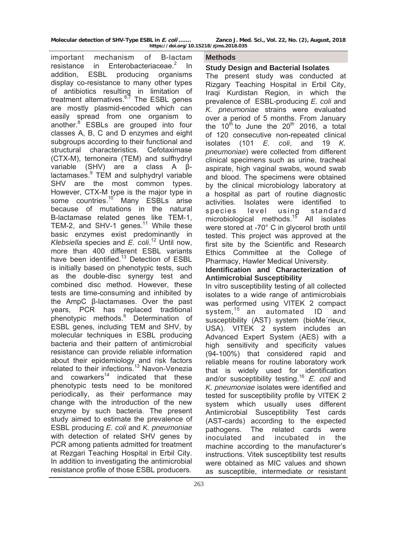| Molecular detection of SHV-Type ESBL in E. coli | Zanco J. Med. Sci., Vol. 22, No. (2), August, 2018 |
|-------------------------------------------------|----------------------------------------------------|
| https://doi.org/10.15218/zjms.2018.035          |                                                    |

important mechanism of B-lactam resistance in Enterobacteriaceae.<sup>2</sup> In addition, ESBL producing organisms display co-resistance to many other types of antibiotics resulting in limitation of treatment alternatives.<sup>6,7</sup> The ESBL genes are mostly plasmid-encoded which can easily spread from one organism to another.<sup>8</sup> ESBLs are grouped into four classes A, B, C and D enzymes and eight subgroups according to their functional and structural characteristics. Cefotaximase (CTX-M), temoneira (TEM) and sulfhydryl variable (SHV) are a class A βlactamases.<sup>9</sup> TEM and sulphydryl variable SHV are the most common types. However, CTX-M type is the major type in some countries.<sup>10</sup> Many ESBLs arise because of mutations in the natural B-lactamase related genes like TEM-1, TEM-2, and SHV-1 genes.<sup>11</sup> While these basic enzymes exist predominantly in *Klebsiella* species and *E. coli*. 12 Until now, more than 400 different ESBL variants have been identified.<sup>13</sup> Detection of ESBL is initially based on phenotypic tests, such as the double-disc synergy test and combined disc method. However, these tests are time-consuming and inhibited by the AmpC β-lactamases. Over the past years, PCR has replaced traditional phenotypic methods.<sup>6</sup> Determination of ESBL genes, including TEM and SHV, by molecular techniques in ESBL producing bacteria and their pattern of antimicrobial resistance can provide reliable information about their epidemiology and risk factors related to their infections.<sup>13</sup> Navon-Venezia and  $convarks<sup>14</sup>$  indicated that these phenotypic tests need to be monitored periodically, as their performance may change with the introduction of the new enzyme by such bacteria. The present study aimed to estimate the prevalence of ESBL producing *E. coli* and *K. pneumoniae*  with detection of related SHV genes by PCR among patients admitted for treatment at Rezgari Teaching Hospital in Erbil City. In addition to investigating the antimicrobial resistance profile of those ESBL producers.

#### **Methods**

#### **Study Design and Bacterial Isolates**

The present study was conducted at Rizgary Teaching Hospital in Erbil City, Iraqi Kurdistan Region, in which the prevalence of ESBL-producing *E. coli* and *K. pneumoniae* strains were evaluated over a period of 5 months. From January the 10<sup>th</sup> to June the 20<sup>th</sup> 2016, a total of 120 consecutive non-repeated clinical isolates (101 *E. coli*, and 19 *K. pneumoniae*) were collected from different clinical specimens such as urine, tracheal aspirate, high vaginal swabs, wound swab and blood. The specimens were obtained by the clinical microbiology laboratory at a hospital as part of routine diagnostic activities. Isolates were identified to species level using standard microbiological methods.<sup>15</sup> All isolates were stored at -70° C in glycerol broth until tested. This project was approved at the first site by the Scientific and Research Ethics Committee at the College of Pharmacy, Hawler Medical University.

## **Identification and Characterization of Antimicrobial Susceptibility**

In vitro susceptibility testing of all collected isolates to a wide range of antimicrobials was performed using VITEK 2 compact system.<sup>15</sup> an automated ID and susceptibility (AST) system (bioMe´rieux, USA). VITEK 2 system includes an Advanced Expert System (AES) with a high sensitivity and specificity values (94-100%) that considered rapid and reliable means for routine laboratory work that is widely used for identification and/or susceptibility testing.<sup>16</sup> E. coli and *K. pneumoniae* isolates were identified and tested for susceptibility profile by VITEK 2 system which usually uses different Antimicrobial Susceptibility Test cards (AST-cards) according to the expected pathogens. The related cards were inoculated and incubated in the machine according to the manufacturer's instructions. Vitek susceptibility test results were obtained as MIC values and shown as susceptible, intermediate or resistant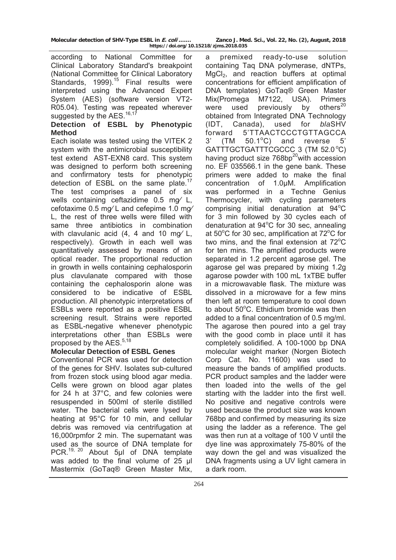according to National Committee for Clinical Laboratory Standard's breakpoint (National Committee for Clinical Laboratory Standards, 1999).<sup>15</sup> Final results were interpreted using the Advanced Expert System (AES) (software version VT2- R05.04). Testing was repeated wherever suggested by the AES.<sup>16,17</sup>

# **Detection of ESBL by Phenotypic Method**

Each isolate was tested using the VITEK 2 system with the antimicrobial susceptibility test extend AST-EXN8 card. This system was designed to perform both screening and confirmatory tests for phenotypic detection of ESBL on the same plate.<sup>17</sup> The test comprises a panel of six wells containing ceftazidime 0.5 mg⁄ L, cefotaxime 0.5 mg⁄ L and cefepime 1.0 mg⁄ L, the rest of three wells were filled with same three antibiotics in combination with clavulanic acid  $(4, 4$  and 10 mg/ L, respectively). Growth in each well was quantitatively assessed by means of an optical reader. The proportional reduction in growth in wells containing cephalosporin plus clavulanate compared with those containing the cephalosporin alone was considered to be indicative of ESBL production. All phenotypic interpretations of ESBLs were reported as a positive ESBL screening result. Strains were reported as ESBL-negative whenever phenotypic interpretations other than ESBLs were proposed by the AES.<sup>5,18</sup>

# **Molecular Detection of ESBL Genes**

Conventional PCR was used for detection of the genes for SHV. Isolates sub-cultured from frozen stock using blood agar media. Cells were grown on blood agar plates for 24 h at 37°C, and few colonies were resuspended in 500ml of sterile distilled water. The bacterial cells were lysed by heating at 95°C for 10 min, and cellular debris was removed via centrifugation at 16,000rpmfor 2 min. The supernatant was used as the source of DNA template for PCR.<sup>19, 20</sup> About 5µl of DNA template was added to the final volume of 25 µl Mastermix (GoTaq® Green Master Mix,

a premixed ready-to-use solution containing Taq DNA polymerase, dNTPs, MgCl<sub>2</sub>, and reaction buffers at optimal concentrations for efficient amplification of DNA templates) GoTaq® Green Master Mix(Promega M7122, USA). Primers were used previously by others $^{20}$ obtained from Integrated DNA Technology (IDT, Canada), used for *bla*SHV forward 5'TTAACTCCCTGTTAGCCA  $3'$  (TM  $50.1^{\circ}$ C) and reverse  $5'$ GATTTGCTGATTTCGCCC 3 (TM 52.0 °C) having product size  $768bp^{20}$ with accession no. EF 035566.1 in the gene bank. These primers were added to make the final concentration of 1.0µM. Amplification was performed in a Techne Genius Thermocycler, with cycling parameters comprising initial denaturation at 94°C for 3 min followed by 30 cycles each of denaturation at  $94^{\circ}$ C for 30 sec, annealing at 50°C for 30 sec, amplification at 72°C for two mins, and the final extension at  $72^{\circ}$ C for ten mins. The amplified products were separated in 1.2 percent agarose gel. The agarose gel was prepared by mixing 1.2g agarose powder with 100 mL 1xTBE buffer in a microwavable flask. The mixture was dissolved in a microwave for a few mins then left at room temperature to cool down to about 50°C. Ethidium bromide was then added to a final concentration of 0.5 mg/ml. The agarose then poured into a gel tray with the good comb in place until it has completely solidified. A 100-1000 bp DNA molecular weight marker (Norgen Biotech Corp Cat. No. 11600) was used to measure the bands of amplified products. PCR product samples and the ladder were then loaded into the wells of the gel starting with the ladder into the first well. No positive and negative controls were used because the product size was known 768bp and confirmed by measuring its size using the ladder as a reference. The gel was then run at a voltage of 100 V until the dye line was approximately 75-80% of the way down the gel and was visualized the DNA fragments using a UV light camera in a dark room.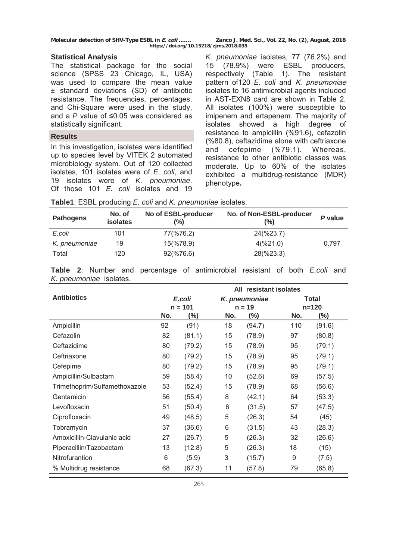### **Statistical Analysis**

The statistical package for the social science (SPSS 23 Chicago, IL, USA) was used to compare the mean value ± standard deviations (SD) of antibiotic resistance. The frequencies, percentages, and Chi-Square were used in the study, and a *P* value of ≤0.05 was considered as statistically significant.

#### **Results**

In this investigation, isolates were identified up to species level by VITEK 2 automated microbiology system. Out of 120 collected isolates, 101 isolates were of *E. coli*, and 19 isolates were of *K. pneumoniae*. Of those 101 *E. coli* isolates and 19

*K. pneumoniae* isolates, 77 (76.2%) and 15 (78.9%) were ESBL producers, respectively (Table 1). The resistant pattern of120 *E. coli* and *K. pneumoniae* isolates to 16 antimicrobial agents included in AST-EXN8 card are shown in Table 2. All isolates (100%) were susceptible to imipenem and ertapenem. The majority of isolates showed a high degree of resistance to ampicillin (%91.6), cefazolin (%80.8), ceftazidime alone with ceftriaxone and cefepime (%79.1). Whereas, resistance to other antibiotic classes was moderate. Up to 60% of the isolates exhibited a multidrug-resistance (MDR) phenotype**.**

|  |  |  |  | Table1: ESBL producing E. coli and K. pneumoniae isolates. |
|--|--|--|--|------------------------------------------------------------|
|--|--|--|--|------------------------------------------------------------|

| <b>Pathogens</b> | No. of<br>isolates | No of ESBL-producer<br>(%) | No. of Non-ESBL-producer<br>(%) | P value |
|------------------|--------------------|----------------------------|---------------------------------|---------|
| E.coli           | 101                | 77(%76.2)                  | 24(%23.7)                       |         |
| K. pneumoniae    | 19                 | 15(%78.9)                  | $4(\frac{9}{21.0})$             | 0.797   |
| Total            | 120                | $92(\frac{9}{676.6})$      | 28(%23.3)                       |         |

**Table 2**: Number and percentage of antimicrobial resistant of both *E.coli* and *K. pneumoniae* isolates.

|                               | All resistant isolates  |           |     |          |     |           |
|-------------------------------|-------------------------|-----------|-----|----------|-----|-----------|
| <b>Antibiotics</b>            | E.coli<br>K. pneumoniae |           |     | Total    |     |           |
|                               |                         | $n = 101$ |     | $n = 19$ |     | $n = 120$ |
|                               | No.                     | (%)       | No. | $(\%)$   | No. | $(\%)$    |
| Ampicillin                    | 92                      | (91)      | 18  | (94.7)   | 110 | (91.6)    |
| Cefazolin                     | 82                      | (81.1)    | 15  | (78.9)   | 97  | (80.8)    |
| Ceftazidime                   | 80                      | (79.2)    | 15  | (78.9)   | 95  | (79.1)    |
| Ceftriaxone                   | 80                      | (79.2)    | 15  | (78.9)   | 95  | (79.1)    |
| Cefepime                      | 80                      | (79.2)    | 15  | (78.9)   | 95  | (79.1)    |
| Ampicillin/Sulbactam          | 59                      | (58.4)    | 10  | (52.6)   | 69  | (57.5)    |
| Trimethoprim/Sulfamethoxazole | 53                      | (52.4)    | 15  | (78.9)   | 68  | (56.6)    |
| Gentamicin                    | 56                      | (55.4)    | 8   | (42.1)   | 64  | (53.3)    |
| Levofloxacin                  | 51                      | (50.4)    | 6   | (31.5)   | 57  | (47.5)    |
| Ciprofloxacin                 | 49                      | (48.5)    | 5   | (26.3)   | 54  | (45)      |
| Tobramycin                    | 37                      | (36.6)    | 6   | (31.5)   | 43  | (28.3)    |
| Amoxicillin-Clavulanic acid   | 27                      | (26.7)    | 5   | (26.3)   | 32  | (26.6)    |
| Piperacillin/Tazobactam       | 13                      | (12.8)    | 5   | (26.3)   | 18  | (15)      |
| Nitrofurantion                | 6                       | (5.9)     | 3   | (15.7)   | 9   | (7.5)     |
| % Multidrug resistance        | 68                      | (67.3)    | 11  | (57.8)   | 79  | (65.8)    |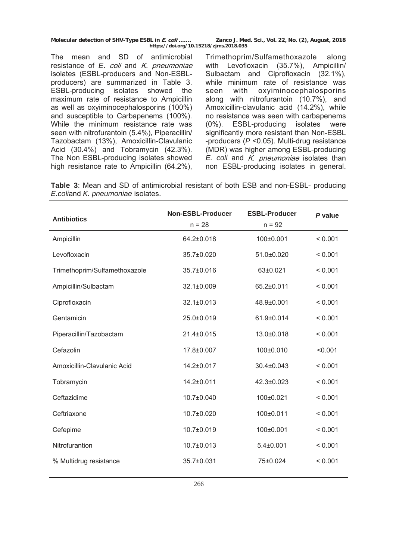The mean and SD of antimicrobial resistance of *E*. coli and K. pneumoniae isolates (ESBL-producers and Non-ESBLproducers) are summarized in Table 3. ESBL-producing isolates showed the maximum rate of resistance to Ampicillin as well as oxyiminocephalosporins (100%) and susceptible to Carbapenems (100%). While the minimum resistance rate was seen with nitrofurantoin (5.4%), Piperacillin/ Tazobactam (13%), Amoxicillin-Clavulanic Acid (30.4%) and Tobramycin (42.3%). The Non ESBL-producing isolates showed high resistance rate to Ampicillin (64.2%), Trimethoprim/Sulfamethoxazole along with Levofloxacin (35.7%), Ampicillin/ Sulbactam and Ciprofloxacin (32.1%), while minimum rate of resistance was seen with oxyiminocephalosporins along with nitrofurantoin (10.7%), and Amoxicillin-clavulanic acid (14.2%), while no resistance was seen with carbapenems (0%). ESBL-producing isolates were significantly more resistant than Non-ESBL -producers (*P* <0.05). Multi-drug resistance (MDR) was higher among ESBL-producing *E. coli* and K. pneumoniae isolates than non ESBL-producing isolates in general.

**Table 3**: Mean and SD of antimicrobial resistant of both ESB and non-ESBL- producing *E.coli*and *K. pneumoniae* isolates.

| <b>Antibiotics</b>            | <b>Non-ESBL-Producer</b><br>$n = 28$ | <b>ESBL-Producer</b><br>$n = 92$ | P value |
|-------------------------------|--------------------------------------|----------------------------------|---------|
| Ampicillin                    | 64.2±0.018                           | 100±0.001                        | < 0.001 |
| Levofloxacin                  | 35.7±0.020                           | 51.0±0.020                       | < 0.001 |
| Trimethoprim/Sulfamethoxazole | $35.7 \pm 0.016$                     | 63±0.021                         | < 0.001 |
| Ampicillin/Sulbactam          | 32.1±0.009                           | 65.2±0.011                       | < 0.001 |
| Ciprofloxacin                 | 32.1±0.013                           | 48.9±0.001                       | < 0.001 |
| Gentamicin                    | $25.0 \pm 0.019$                     | 61.9±0.014                       | < 0.001 |
| Piperacillin/Tazobactam       | 21.4±0.015                           | 13.0±0.018                       | < 0.001 |
| Cefazolin                     | 17.8±0.007                           | 100±0.010                        | < 0.001 |
| Amoxicillin-Clavulanic Acid   | 14.2±0.017                           | 30.4±0.043                       | < 0.001 |
| Tobramycin                    | 14.2±0.011                           | 42.3±0.023                       | < 0.001 |
| Ceftazidime                   | 10.7±0.040                           | 100±0.021                        | < 0.001 |
| Ceftriaxone                   | 10.7±0.020                           | 100±0.011                        | < 0.001 |
| Cefepime                      | 10.7±0.019                           | 100±0.001                        | < 0.001 |
| Nitrofurantion                | 10.7±0.013                           | $5.4 \pm 0.001$                  | < 0.001 |
| % Multidrug resistance        | 35.7±0.031                           | 75±0.024                         | < 0.001 |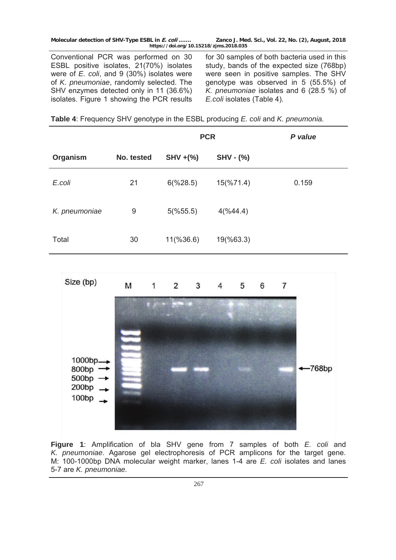Conventional PCR was performed on 30 ESBL positive isolates, 21(70%) isolates were of *E. coli*, and 9 (30%) isolates were of *K. pneumoniae*, randomly selected. The SHV enzymes detected only in 11 (36.6%) isolates. Figure 1 showing the PCR results for 30 samples of both bacteria used in this study, bands of the expected size (768bp) were seen in positive samples. The SHV genotype was observed in 5 (55.5%) of *K. pneumoniae* isolates and 6 (28.5 %) of *E.coli* isolates (Table 4).

**Table 4**: Frequency SHV genotype in the ESBL producing *E. coli* and *K. pneumonia.*

|               |            | <b>PCR</b>           |                       | P value |
|---------------|------------|----------------------|-----------------------|---------|
| Organism      | No. tested | $SHV + (\%)$         | $SHV - (\%)$          |         |
| E.coli        | 21         | $6(\frac{6}{28.5})$  | $15(\frac{9}{6}71.4)$ | 0.159   |
| K. pneumoniae | 9          | $5(\%55.5)$          | 4(%44.4)              |         |
| Total         | 30         | $11(\frac{9}{36.6})$ | 19(%63.3)             |         |



**Figure 1**: Amplification of bla SHV gene from 7 samples of both *E. coli* and *K. pneumoniae*. Agarose gel electrophoresis of PCR amplicons for the target gene. M: 100-1000bp DNA molecular weight marker, lanes 1-4 are *E. coli* isolates and lanes 5-7 are *K. pneumoniae.*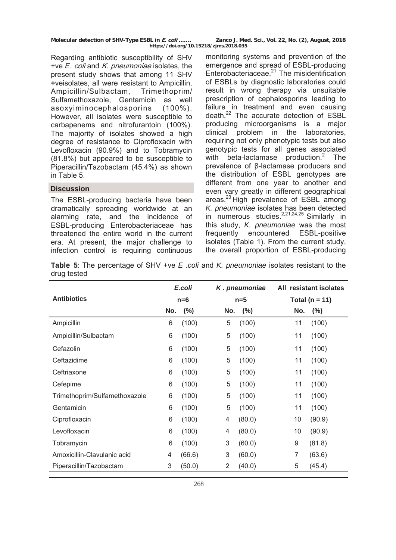| Molecular detection of SHV-Type ESBL in E. coli | Zanco J. Med. Sci., Vol. 22, No. (2), August, 2018 |
|-------------------------------------------------|----------------------------------------------------|
| https://doi.org/10.15218/zjms.2018.035          |                                                    |

Regarding antibiotic susceptibility of SHV +ve *E*. coli and K. pneumoniae isolates, the present study shows that among 11 SHV **+**veisolates, all were resistant to Ampicillin, Ampicillin/Sulbactam, Trimethoprim/ Sulfamethoxazole, Gentamicin as well asoxyiminocephalosporins (100%). However, all isolates were susceptible to carbapenems and nitrofurantoin (100%). The majority of isolates showed a high degree of resistance to Ciprofloxacin with Levofloxacin (90.9%) and to Tobramycin (81.8%) but appeared to be susceptible to Piperacillin/Tazobactam (45.4%) as shown in Table 5.

# **Discussion**

The ESBL-producing bacteria have been dramatically spreading worldwide at an alarming rate, and the incidence of ESBL-producing Enterobacteriaceae has threatened the entire world in the current era. At present, the major challenge to infection control is requiring continuous

monitoring systems and prevention of the emergence and spread of ESBL-producing Enterobacteriaceae. $21$  The misidentification of ESBLs by diagnostic laboratories could result in wrong therapy via unsuitable prescription of cephalosporins leading to failure in treatment and even causing death.22 The accurate detection of ESBL producing microorganisms is a major clinical problem in the laboratories, requiring not only phenotypic tests but also genotypic tests for all genes associated with beta-lactamase production.<sup>2</sup> The prevalence of β-lactamase producers and the distribution of ESBL genotypes are different from one year to another and even vary greatly in different geographical areas.<sup>23</sup> High prevalence of ESBL among *K. pneumoniae* isolates has been detected in numerous studies.<sup>2,21,24,25</sup> Similarly in this study, *K. pneumoniae* was the most frequently encountered ESBL-positive isolates (Table 1). From the current study, the overall proportion of ESBL-producing

**Table 5**: The percentage of SHV +ve *E .coli* and *K. pneumoniae* isolates resistant to the drug tested

|                               | E.coli |         | K. pneumoniae | All resistant isolates   |  |
|-------------------------------|--------|---------|---------------|--------------------------|--|
| <b>Antibiotics</b>            |        | $n=6$   | $n=5$         | Total ( $n = 11$ )       |  |
|                               | No.    | $(\% )$ | $(\%)$<br>No. | No.<br>$(\%)$            |  |
| Ampicillin                    | 6      | (100)   | (100)<br>5    | (100)<br>11              |  |
| Ampicillin/Sulbactam          | 6      | (100)   | 5<br>(100)    | (100)<br>11              |  |
| Cefazolin                     | 6      | (100)   | (100)<br>5    | (100)<br>11              |  |
| Ceftazidime                   | 6      | (100)   | (100)<br>5    | (100)<br>11              |  |
| Ceftriaxone                   | 6      | (100)   | 5<br>(100)    | (100)<br>11              |  |
| Cefepime                      | 6      | (100)   | 5<br>(100)    | (100)<br>11              |  |
| Trimethoprim/Sulfamethoxazole | 6      | (100)   | (100)<br>5    | (100)<br>11              |  |
| Gentamicin                    | 6      | (100)   | 5<br>(100)    | (100)<br>11              |  |
| Ciprofloxacin                 | 6      | (100)   | (80.0)<br>4   | 10<br>(90.9)             |  |
| Levofloxacin                  | 6      | (100)   | (80.0)<br>4   | 10<br>(90.9)             |  |
| Tobramycin                    | 6      | (100)   | 3<br>(60.0)   | 9<br>(81.8)              |  |
| Amoxicillin-Clavulanic acid   | 4      | (66.6)  | 3<br>(60.0)   | $\overline{7}$<br>(63.6) |  |
| Piperacillin/Tazobactam       | 3      | (50.0)  | 2<br>(40.0)   | 5<br>(45.4)              |  |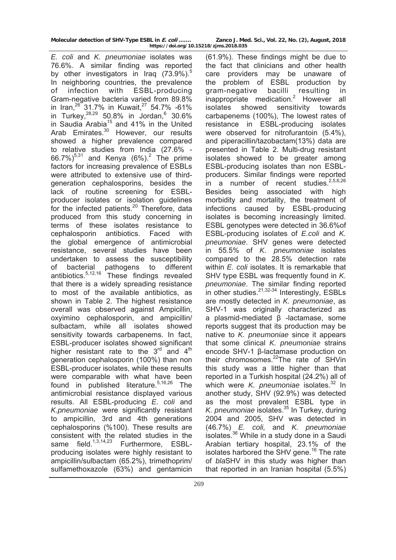*E. coli* and *K. pneumoniae* isolates was 76.6%. A similar finding was reported by other investigators in Iraq  $(73.9\%)$ <sup>5</sup> In neighboring countries, the prevalence of infection with ESBL-producing Gram-negative bacteria varied from 89.8% in Iran,  $26$  31.7% in Kuwait,  $27$  54.7% -61% in Turkey,  $28,29$  50.8% in Jordan,  $6$  30.6% in Saudia Arabia<sup>15</sup> and 41% in the United Arab Emirates.<sup>30</sup> However, our results showed a higher prevalence compared to relative studies from India (27.6% - 66.7%)<sup>5,31</sup> and Kenya (6%).<sup>2</sup> The prime factors for increasing prevalence of ESBLs were attributed to extensive use of thirdgeneration cephalosporins, besides the lack of routine screening for ESBLproducer isolates or isolation guidelines for the infected patients.<sup>20</sup> Therefore, data produced from this study concerning in terms of these isolates resistance to cephalosporin antibiotics. Faced with the global emergence of antimicrobial resistance, several studies have been undertaken to assess the susceptibility of bacterial pathogens to different antibiotics.5,12,16 These findings revealed that there is a widely spreading resistance to most of the available antibiotics, as shown in Table 2. The highest resistance overall was observed against Ampicillin, oxyimino cephalosporin, and ampicillin/ sulbactam, while all isolates showed sensitivity towards carbapenems. In fact, ESBL-producer isolates showed significant higher resistant rate to the  $3<sup>rd</sup>$  and  $4<sup>th</sup>$ generation cephalosporin (100%) than non ESBL-producer isolates, while these results were comparable with what have been found in published literature.<sup>5,16,26</sup> The antimicrobial resistance displayed various results. All ESBL-producing *E. coli* and *K.pneumoniae* were significantly resistant to ampicillin, 3rd and 4th generations cephalosporins (%100). These results are consistent with the related studies in the same field.<sup>1,3,14,23</sup> Furthermore, ESBLproducing isolates were highly resistant to ampicillin/sulbactam (65.2%), trimethoprim/ sulfamethoxazole (63%) and gentamicin

(61.9%). These findings might be due to the fact that clinicians and other health care providers may be unaware of the problem of ESBL production by gram-negative bacilli resulting in inappropriate medication.<sup>2</sup> However all isolates showed sensitivity towards carbapenems (100%), The lowest rates of resistance in ESBL-producing isolates were observed for nitrofurantoin (5.4%), and piperacillin/tazobactam(13%) data are presented in Table 2. Multi-drug resistant isolates showed to be greater among ESBL-producing isolates than non ESBLproducers. Similar findings were reported in a number of recent studies.  $2,5,6,26$ Besides being associated with high morbidity and mortality, the treatment of infections caused by ESBL-producing isolates is becoming increasingly limited. ESBL genotypes were detected in 36.6%of ESBL-producing isolates of *E.coli* and *K. pneumoniae*. SHV genes were detected in 55.5% of *K. pneumoniae* isolates compared to the 28.5% detection rate within *E. coli* isolates. It is remarkable that SHV type ESBL was frequently found in *K. pneumoniae*. The similar finding reported in other studies. $21,32-34$  Interestingly, ESBLs are mostly detected in *K. pneumoniae*, as SHV-1 was originally characterized as a plasmid-mediated β -lactamase, some reports suggest that its production may be native to *K. pneumoniae* since it appears that some clinical *K. pneumoniae* strains encode SHV-1 β-lactamase production on their chromosomes. $^{22}$ The rate of SHVin this study was a little higher than that reported in a Turkish hospital (24.2%) all of which were *K. pneumoniae* isolates.<sup>32</sup> In another study, SHV (92.9%) was detected as the most prevalent ESBL type in *K. pneumoniae* isolates.35 In Turkey, during 2004 and 2005, SHV was detected in (46.7%) *E. coli,* and *K. pneumoniae*  isolates.36 While in a study done in a Saudi Arabian tertiary hospital, 23.1% of the isolates harbored the SHV gene.<sup>16</sup> The rate of *bla*SHV in this study was higher than that reported in an Iranian hospital (5.5%)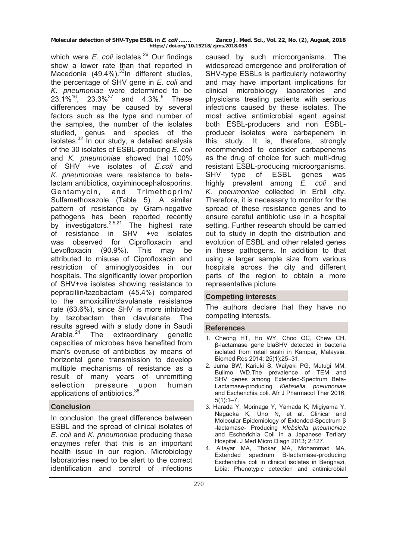which were *E. coli* isolates.<sup>26</sup> Our findings show a lower rate than that reported in Macedonia  $(49.4\%)$ .<sup>33</sup>In different studies, the percentage of SHV gene in *E. coli* and *K. pneumoniae* were determined to be  $23.1\%^{16}$ ,  $23.3\%^{37}$  and  $4.3\%^{6}$  These differences may be caused by several factors such as the type and number of the samples, the number of the isolates studied, genus and species of the isolates.32 In our study, a detailed analysis of the 30 isolates of ESBL-producing *E. coli*  and *K. pneumoniae* showed that 100% of SHV +ve isolates of *E.coli* and *K. pneumoniae* were resistance to betalactam antibiotics, oxyiminocephalosporins, Gentamycin, and Trimethoprim/ Sulfamethoxazole (Table 5). A similar pattern of resistance by Gram-negative pathogens has been reported recently by investigators. $2,5,21$  The highest rate of resistance in SHV +ve isolates was observed for Ciprofloxacin and Levofloxacin (90.9%). This may be attributed to misuse of Ciprofloxacin and restriction of aminoglycosides in our hospitals. The significantly lower proportion of SHV+ve isolates showing resistance to pepracillin/tazobactam (45.4%) compared to the amoxicillin/clavulanate resistance rate (63.6%), since SHV is more inhibited by tazobactam than clavulanate. The results agreed with a study done in Saudi Arabia. $21$  The extraordinary genetic capacities of microbes have benefited from man's overuse of antibiotics by means of horizontal gene transmission to develop multiple mechanisms of resistance as a result of many years of unremitting selection pressure upon human applications of antibiotics.<sup>38</sup>

# **Conclusion**

In conclusion, the great difference between ESBL and the spread of clinical isolates of *E. coli* and *K. pneumoniae* producing these enzymes refer that this is an important health issue in our region. Microbiology laboratories need to be alert to the correct identification and control of infections

caused by such microorganisms. The widespread emergence and proliferation of SHV-type ESBLs is particularly noteworthy and may have important implications for clinical microbiology laboratories and physicians treating patients with serious infections caused by these isolates. The most active antimicrobial agent against both ESBL-producers and non ESBLproducer isolates were carbapenem in this study. It is, therefore, strongly recommended to consider carbapenems as the drug of choice for such multi-drug resistant ESBL-producing microorganisms. SHV type of ESBL genes was highly prevalent among *E. coli* and *K. pneumoniae* collected in Erbil city. Therefore, it is necessary to monitor for the spread of these resistance genes and to ensure careful antibiotic use in a hospital setting. Further research should be carried out to study in depth the distribution and evolution of ESBL and other related genes in these pathogens. In addition to that using a larger sample size from various hospitals across the city and different parts of the region to obtain a more representative picture.

### **Competing interests**

The authors declare that they have no competing interests.

### **References**

- 1. Cheong HT, Ho WY, Choo QC, Chew CH. β-lactamase gene blaSHV detected in bacteria isolated from retail sushi in Kampar, Malaysia. Biomed Res 2014; 25(1):25–31.
- 2. Juma BW, Kariuki S, Waiyaki PG, Mutugi MM, Bulimo WD.The prevalence of TEM and SHV genes among Extended-Spectrum Beta-Lactamase-producing *Klebsiella pneumoniae* and Escherichia coli. Afr J Pharmacol Ther 2016;  $5(1):1-7.$
- 3. Harada Y, Morinaga Y, Yamada K, Migiyama Y, Nagaoka K, Uno N, et al. Clinical and Molecular Epidemiology of Extended-Spectrum β -lactamase- Producing *Klebsiella pneumoniae* and Escherichia Coli in a Japanese Tertiary Hospital. J Med Micro Diagn 2013; 2:127.
- 4. Altayar MA, Thokar MA, Mohammad MA. Extended spectrum B-lactamase-producing Escherichia coli in clinical isolates in Benghazi, Libia: Phenotypic detection and antimicrobial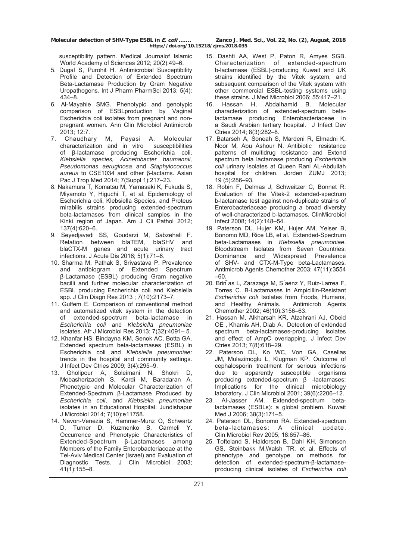susceptibility pattern. Medical Journalof Islamic World Academy of Sciences 2012; 20(2):49–6.

- 5. Dugal S, Purohit H. Antimicrobial Susceptibility Profile and Detection of Extended Spectrum Beta-Lactamase Production by Gram Negative Uropathogens. Int J Pharm PharmSci 2013; 5(4): 434–8.
- 6. Al-Mayahie SMG. Phenotypic and genotypic comparison of ESBLproduction by Vaginal Escherichia coli isolates from pregnant and nonpregnant women. Ann Clin Microbiol Antimicrob 2013; 12:7.
- 7. Chaudhary M, Payasi A. Molecular characterization and in vitro susceptibilities of β-lactamase producing Escherichia coli, *Klebsiella species, Acinetobacter baumannii, Pseudomonas aeruginosa* and *Staphylococcus aureus* to CSE1034 and other β-lactams. Asian Pac J Trop Med 2014; 7(Suppl 1):217–23.
- 8. Nakamura T, Komatsu M, Yamasaki K, Fukuda S, Miyamoto Y, Higuchi T, et al. Epidemiology of Escherichia coli, Klebsiella Species, and Proteus mirabilis strains producing extended-spectrum beta-lactamases from clinical samples in the Kinki region of Japan. Am J Cli Pathol 2012; 137(4):620–6.
- 9. Seyedjavadi SS, Goudarzi M, Sabzehali F. Relation between blaTEM, blaSHV and blaCTX-M genes and acute urinary tract infections. J Acute Dis 2016; 5(1):71–6.
- 10. Sharma M, Pathak S, Srivastava P. Prevalence and antibiogram of Extended Spectrum β-Lactamase (ESBL) producing Gram negative bacilli and further molecular characterization of ESBL producing Escherichia coli and Klebsiella spp. J Clin Diagn Res 2013 ; 7(10):2173–7.
- 11. Gulfem E. Comparison of conventional method and automatized vitek system in the detection of extended-spectrum beta-lactamase in *Escherichia coli* and *Klebsiella pneumoniae* isolates. Afr J Microbiol Res 2013; 7(32):4091– 5.
- 12. Khanfar HS, Bindayna KM, Senok AC, Botta GA. Extended spectrum beta-lactamases (ESBL) in Escherichia coli and *Klebsiella pneumoniae*: trends in the hospital and community settings. J Infect Dev Ctries 2009; 3(4):295–9.
- 13. Gholipour A, Soleimani N, Shokri D, Mobasherizadeh S, Kardi M, Baradaran A. Phenotypic and Molecular Characterization of Extended-Spectrum β-Lactamase Produced by *Escherichia coli*, and *Klebsiella pneumoniae*  isolates in an Educational Hospital. Jundishapur J Microbiol 2014; 7(10):e11758.
- 14. Navon-Venezia S, Hammer-Munz O, Schwartz D, Turner D, Kuzmenko B, Carmeli Y. Occurrence and Phenotypic Characteristics of Extended-Spectrum β-Lactamases among Members of the Family Enterobacteriaceae at the Tel-Aviv Medical Center (Israel) and Evaluation of Diagnostic Tests. J Clin Microbiol 2003;  $41(1):155-8.$
- 15. Dashti AA, West P, Paton R, Amyes SGB. Characterization of extended-spectrum b-lactamase (ESBL)-producing Kuwait and UK strains identified by the Vitek system, and subsequent comparison of the Vitek system with other commercial ESBL-testing systems using these strains. J Med Microbiol 2006; 55:417–21.
- 16. Hassan H, Abdalhamid B. Molecular characterization of extended-spectrum betalactamase producing Enterobacteriaceae in a Saudi Arabian tertiary hospital. J Infect Dev Ctries 2014; 8(3):282–8.
- 17. Batarseh A, Soneah S, Mardeni R, Elmadni K, Noor M, Abu Ashour N. Antibiotic resistance patterns of multidrug resistance and Extend spectrum beta lactamase producing *Escherichia coli* urinary isolates at Queen Rani AL-Abdullah hospital for children. Jorden ZUMJ 2013; 19 (5):286–93.
- 18. Robin F, Delmas J, Schweitzer C, Bonnet R. Evaluation of the Vitek-2 extended-spectrum b-lactamase test against non-duplicate strains of Enterobacteriaceae producing a broad diversity of well-characterized b-lactamases. ClinMicrobiol Infect 2008; 14(2):148–54.
- 19. Paterson DL, Hujer KM, Hujer AM, Yeiser B, Bonomo MD, Rice LB, et al. Extended-Spectrum beta-Lactamases in *Klebsiella pneumoniae*. Bloodstream Isolates from Seven Countries: Dominance and Widespread Prevalence of SHV- and CTX-M-Type beta-Lactamases. Antimicrob Agents Chemother 2003; 47(11):3554 –60.
- 20. Brin ̃as L, Zarazaga M, S ́aenz Y, Ruiz-Larrea F, Torres C. B-Lactamases in Ampicillin-Resistant *Escherichia coli* Isolates from Foods, Humans, and Healthy Animals. Antimicrob Agents Chemother 2002; 46(10):3156–63.
- 21. Hassan M, Alkharsah KR, Alzahrani AJ, Obeid OE , Khamis AH, Diab A. Detection of extended spectrum beta-lactamases-producing isolates and effect of AmpC overlapping. J Infect Dev Ctries 2013; 7(8):618–29.
- 22. Paterson DL, Ko WC, Von GA, Casellas JM, Mulazimoglu L, Klugman KP. Outcome of cephalosporin treatment for serious infections due to apparently susceptible organisms producing extended-spectrum β -lactamases: Implications for the clinical microbiology laboratory. J Clin Microbiol 2001; 39(6):2206–12.
- 23. Al-Jasser AM. Extended-spectrum betalactamases (ESBLs): a global problem. Kuwait Med J 2006; 38(3):171–5.
- 24. Paterson DL, Bonomo RA. Extended-spectrum beta-lactamases: A clinical update. Clin Microbiol Rev 2005; 18:657–86.
- 25. Tofteland S, Haldorsen B, Dahl KH, Simonsen GS, Steinbakk M,Walsh TR, et al. Effects of phenotype and genotype on methods for detection of extended-spectrum-β-lactamaseproducing clinical isolates of *Escherichia coli*